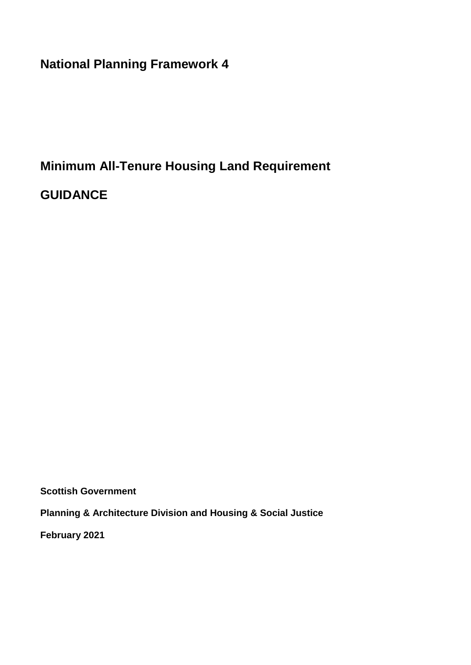**National Planning Framework 4**

# **Minimum All-Tenure Housing Land Requirement**

**GUIDANCE**

**Scottish Government**

**Planning & Architecture Division and Housing & Social Justice** 

**February 2021**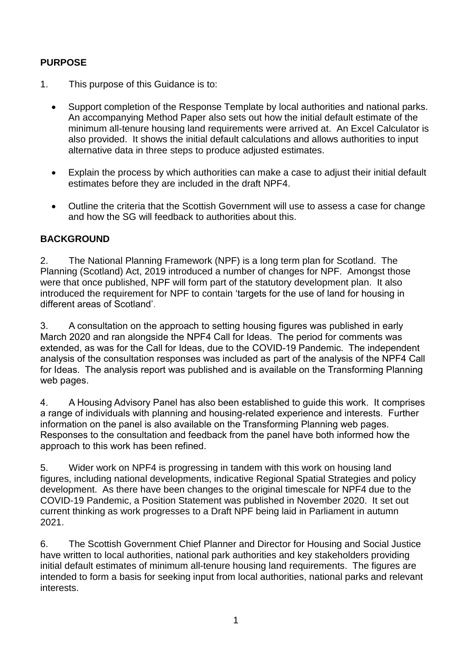### **PURPOSE**

- 1. This purpose of this Guidance is to:
	- Support completion of the Response Template by local authorities and national parks. An accompanying Method Paper also sets out how the initial default estimate of the minimum all-tenure housing land requirements were arrived at. An Excel Calculator is also provided. It shows the initial default calculations and allows authorities to input alternative data in three steps to produce adjusted estimates.
	- Explain the process by which authorities can make a case to adjust their initial default estimates before they are included in the draft NPF4.
	- Outline the criteria that the Scottish Government will use to assess a case for change and how the SG will feedback to authorities about this.

### **BACKGROUND**

2. The National Planning Framework (NPF) is a long term plan for Scotland. The Planning (Scotland) Act, 2019 introduced a number of changes for NPF. Amongst those were that once published, NPF will form part of the statutory development plan. It also introduced the requirement for NPF to contain 'targets for the use of land for housing in different areas of Scotland'.

3. A consultation on the approach to setting housing figures was published in early March 2020 and ran alongside the NPF4 Call for Ideas. The period for comments was extended, as was for the Call for Ideas, due to the COVID-19 Pandemic. The independent analysis of the consultation responses was included as part of the analysis of the NPF4 Call for Ideas. The analysis report was published and is available on the Transforming Planning web pages.

4. A Housing Advisory Panel has also been established to guide this work. It comprises a range of individuals with planning and housing-related experience and interests. Further information on the panel is also available on the Transforming Planning web pages. Responses to the consultation and feedback from the panel have both informed how the approach to this work has been refined.

5. Wider work on NPF4 is progressing in tandem with this work on housing land figures, including national developments, indicative Regional Spatial Strategies and policy development. As there have been changes to the original timescale for NPF4 due to the COVID-19 Pandemic, a Position Statement was published in November 2020. It set out current thinking as work progresses to a Draft NPF being laid in Parliament in autumn 2021.

6. The Scottish Government Chief Planner and Director for Housing and Social Justice have written to local authorities, national park authorities and key stakeholders providing initial default estimates of minimum all-tenure housing land requirements. The figures are intended to form a basis for seeking input from local authorities, national parks and relevant interests.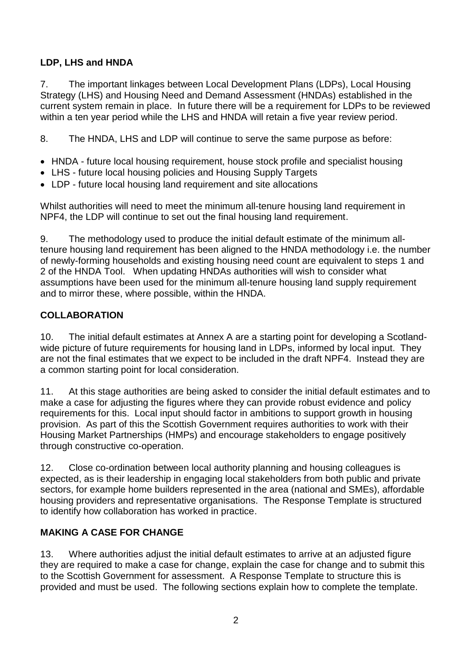# **LDP, LHS and HNDA**

7. The important linkages between Local Development Plans (LDPs), Local Housing Strategy (LHS) and Housing Need and Demand Assessment (HNDAs) established in the current system remain in place. In future there will be a requirement for LDPs to be reviewed within a ten year period while the LHS and HNDA will retain a five year review period.

8. The HNDA, LHS and LDP will continue to serve the same purpose as before:

- HNDA future local housing requirement, house stock profile and specialist housing
- LHS future local housing policies and Housing Supply Targets
- LDP future local housing land requirement and site allocations

Whilst authorities will need to meet the minimum all-tenure housing land requirement in NPF4, the LDP will continue to set out the final housing land requirement.

9. The methodology used to produce the initial default estimate of the minimum alltenure housing land requirement has been aligned to the HNDA methodology i.e. the number of newly-forming households and existing housing need count are equivalent to steps 1 and 2 of the HNDA Tool. When updating HNDAs authorities will wish to consider what assumptions have been used for the minimum all-tenure housing land supply requirement and to mirror these, where possible, within the HNDA.

### **COLLABORATION**

10. The initial default estimates at Annex A are a starting point for developing a Scotlandwide picture of future requirements for housing land in LDPs, informed by local input. They are not the final estimates that we expect to be included in the draft NPF4. Instead they are a common starting point for local consideration.

11. At this stage authorities are being asked to consider the initial default estimates and to make a case for adjusting the figures where they can provide robust evidence and policy requirements for this. Local input should factor in ambitions to support growth in housing provision. As part of this the Scottish Government requires authorities to work with their Housing Market Partnerships (HMPs) and encourage stakeholders to engage positively through constructive co-operation.

12. Close co-ordination between local authority planning and housing colleagues is expected, as is their leadership in engaging local stakeholders from both public and private sectors, for example home builders represented in the area (national and SMEs), affordable housing providers and representative organisations. The Response Template is structured to identify how collaboration has worked in practice.

#### **MAKING A CASE FOR CHANGE**

13. Where authorities adjust the initial default estimates to arrive at an adjusted figure they are required to make a case for change, explain the case for change and to submit this to the Scottish Government for assessment. A Response Template to structure this is provided and must be used. The following sections explain how to complete the template.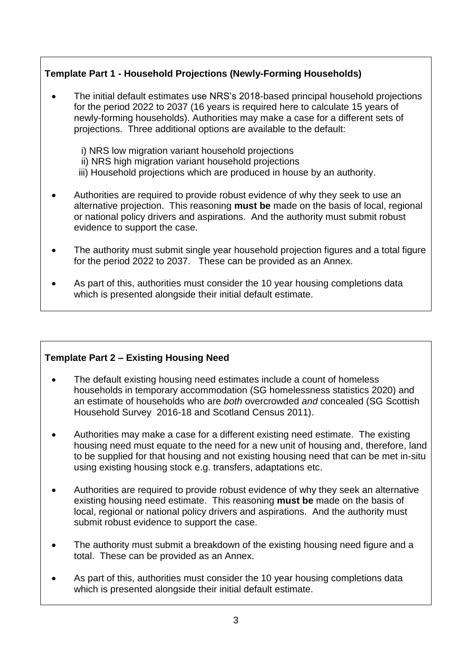# **Template Part 1 - Household Projections (Newly-Forming Households)**

- The initial default estimates use NRS's 2018-based principal household projections for the period 2022 to 2037 (16 years is required here to calculate 15 years of newly-forming households). Authorities may make a case for a different sets of projections. Three additional options are available to the default:
	- i) NRS low migration variant household projections ii) NRS high migration variant household projections iii) Household projections which are produced in house by an authority.
- Authorities are required to provide robust evidence of why they seek to use an alternative projection. This reasoning **must be** made on the basis of local, regional or national policy drivers and aspirations. And the authority must submit robust evidence to support the case.
- The authority must submit single year household projection figures and a total figure for the period 2022 to 2037. These can be provided as an Annex.
- As part of this, authorities must consider the 10 year housing completions data which is presented alongside their initial default estimate.

#### **Template Part 2 – Existing Housing Need**

- The default existing housing need estimates include a count of homeless households in temporary accommodation (SG homelessness statistics 2020) and an estimate of households who are *both* overcrowded *and* concealed (SG Scottish Household Survey 2016-18 and Scotland Census 2011).
- Authorities may make a case for a different existing need estimate. The existing housing need must equate to the need for a new unit of housing and, therefore, land to be supplied for that housing and not existing housing need that can be met in-situ using existing housing stock e.g. transfers, adaptations etc.
- Authorities are required to provide robust evidence of why they seek an alternative existing housing need estimate. This reasoning **must be** made on the basis of local, regional or national policy drivers and aspirations. And the authority must submit robust evidence to support the case.
- The authority must submit a breakdown of the existing housing need figure and a total. These can be provided as an Annex.
- As part of this, authorities must consider the 10 year housing completions data which is presented alongside their initial default estimate.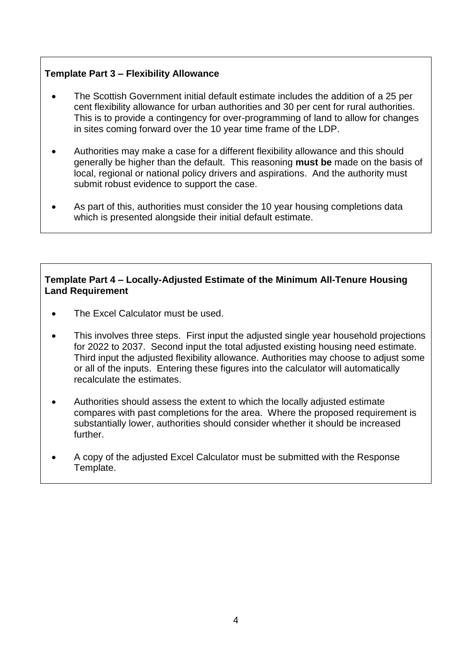### **Template Part 3 – Flexibility Allowance**

- The Scottish Government initial default estimate includes the addition of a 25 per cent flexibility allowance for urban authorities and 30 per cent for rural authorities. This is to provide a contingency for over-programming of land to allow for changes in sites coming forward over the 10 year time frame of the LDP.
- Authorities may make a case for a different flexibility allowance and this should generally be higher than the default. This reasoning **must be** made on the basis of local, regional or national policy drivers and aspirations. And the authority must submit robust evidence to support the case.
- As part of this, authorities must consider the 10 year housing completions data which is presented alongside their initial default estimate.

#### **Template Part 4 – Locally-Adjusted Estimate of the Minimum All-Tenure Housing Land Requirement**

- The Excel Calculator must be used.
- This involves three steps. First input the adjusted single year household projections for 2022 to 2037. Second input the total adjusted existing housing need estimate. Third input the adjusted flexibility allowance. Authorities may choose to adjust some or all of the inputs. Entering these figures into the calculator will automatically recalculate the estimates.
- Authorities should assess the extent to which the locally adjusted estimate compares with past completions for the area. Where the proposed requirement is substantially lower, authorities should consider whether it should be increased further.
- A copy of the adjusted Excel Calculator must be submitted with the Response Template.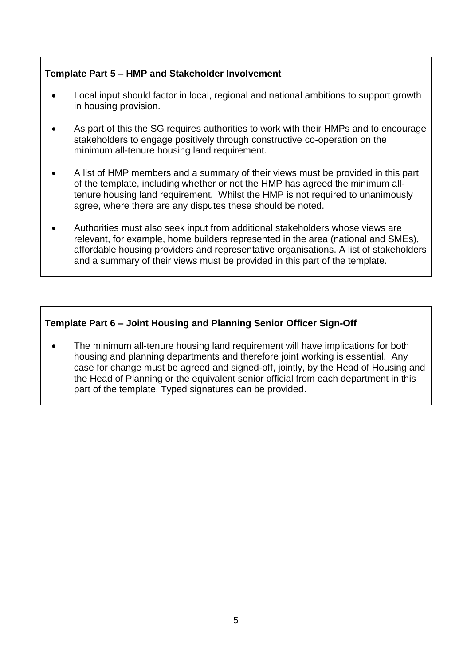#### **Template Part 5 – HMP and Stakeholder Involvement**

- Local input should factor in local, regional and national ambitions to support growth in housing provision.
- As part of this the SG requires authorities to work with their HMPs and to encourage stakeholders to engage positively through constructive co-operation on the minimum all-tenure housing land requirement.
- A list of HMP members and a summary of their views must be provided in this part of the template, including whether or not the HMP has agreed the minimum alltenure housing land requirement. Whilst the HMP is not required to unanimously agree, where there are any disputes these should be noted.
- Authorities must also seek input from additional stakeholders whose views are relevant, for example, home builders represented in the area (national and SMEs), affordable housing providers and representative organisations. A list of stakeholders and a summary of their views must be provided in this part of the template.

### **Template Part 6 – Joint Housing and Planning Senior Officer Sign-Off**

 The minimum all-tenure housing land requirement will have implications for both housing and planning departments and therefore joint working is essential. Any case for change must be agreed and signed-off, jointly, by the Head of Housing and the Head of Planning or the equivalent senior official from each department in this part of the template. Typed signatures can be provided.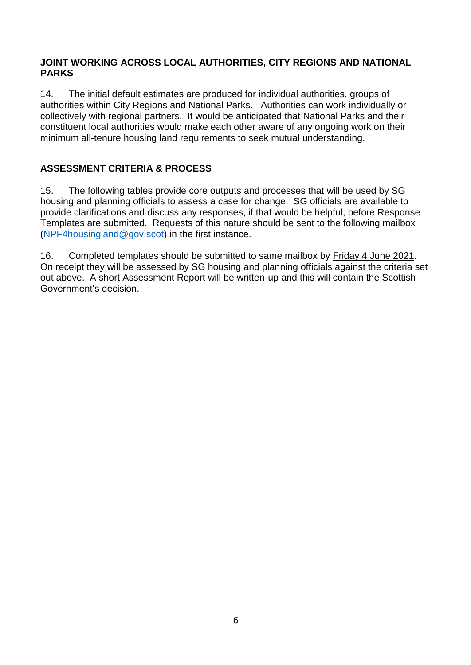#### **JOINT WORKING ACROSS LOCAL AUTHORITIES, CITY REGIONS AND NATIONAL PARKS**

14. The initial default estimates are produced for individual authorities, groups of authorities within City Regions and National Parks. Authorities can work individually or collectively with regional partners. It would be anticipated that National Parks and their constituent local authorities would make each other aware of any ongoing work on their minimum all-tenure housing land requirements to seek mutual understanding.

# **ASSESSMENT CRITERIA & PROCESS**

15. The following tables provide core outputs and processes that will be used by SG housing and planning officials to assess a case for change. SG officials are available to provide clarifications and discuss any responses, if that would be helpful, before Response Templates are submitted. Requests of this nature should be sent to the following mailbox [\(NPF4housingland@gov.scot\)](mailto:NPF4housingland@gov.scot) in the first instance.

16. Completed templates should be submitted to same mailbox by Friday 4 June 2021. On receipt they will be assessed by SG housing and planning officials against the criteria set out above. A short Assessment Report will be written-up and this will contain the Scottish Government's decision.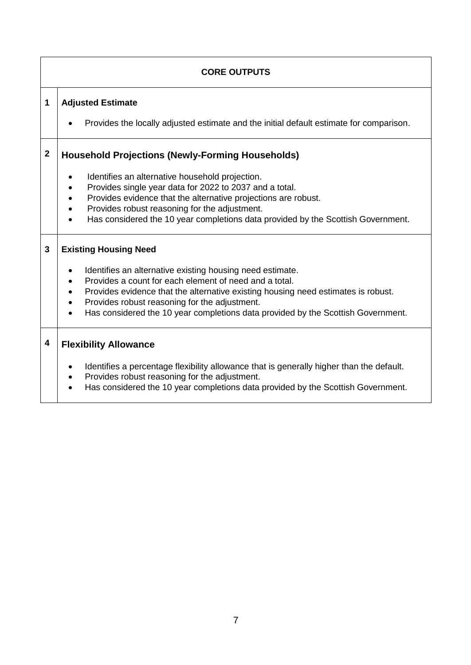# **CORE OUTPUTS**

#### **1 Adjusted Estimate**

Provides the locally adjusted estimate and the initial default estimate for comparison.

#### **2 Household Projections (Newly-Forming Households)**

- $\bullet$  Identifies an alternative household projection.
- Provides single year data for 2022 to 2037 and a total.
- Provides evidence that the alternative projections are robust.
- Provides robust reasoning for the adjustment.
- Has considered the 10 year completions data provided by the Scottish Government.

#### **3 Existing Housing Need**

- Identifies an alternative existing housing need estimate.
- Provides a count for each element of need and a total.
- Provides evidence that the alternative existing housing need estimates is robust.
- Provides robust reasoning for the adjustment.
- Has considered the 10 year completions data provided by the Scottish Government.

#### **4 Flexibility Allowance**

- Identifies a percentage flexibility allowance that is generally higher than the default.
- Provides robust reasoning for the adjustment.
- Has considered the 10 year completions data provided by the Scottish Government.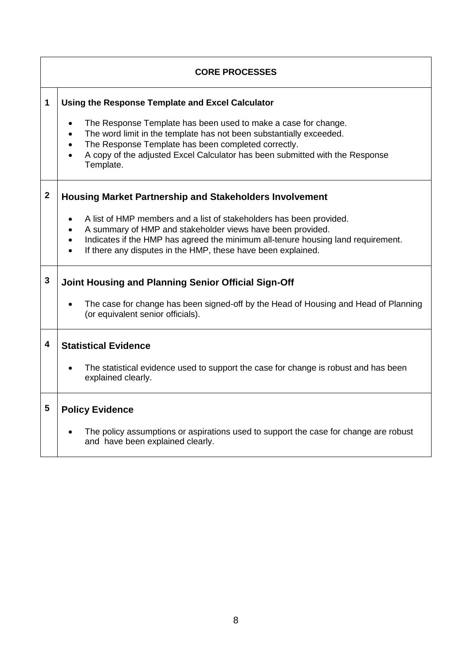| <b>CORE PROCESSES</b> |                                                                                                                                                                                                                                                                                                                                                         |  |  |  |  |
|-----------------------|---------------------------------------------------------------------------------------------------------------------------------------------------------------------------------------------------------------------------------------------------------------------------------------------------------------------------------------------------------|--|--|--|--|
| 1                     | Using the Response Template and Excel Calculator<br>The Response Template has been used to make a case for change.<br>The word limit in the template has not been substantially exceeded.<br>The Response Template has been completed correctly.<br>A copy of the adjusted Excel Calculator has been submitted with the Response<br>Template.           |  |  |  |  |
| $\mathbf{2}$          | <b>Housing Market Partnership and Stakeholders Involvement</b><br>A list of HMP members and a list of stakeholders has been provided.<br>A summary of HMP and stakeholder views have been provided.<br>Indicates if the HMP has agreed the minimum all-tenure housing land requirement.<br>If there any disputes in the HMP, these have been explained. |  |  |  |  |
| 3                     | Joint Housing and Planning Senior Official Sign-Off<br>The case for change has been signed-off by the Head of Housing and Head of Planning<br>(or equivalent senior officials).                                                                                                                                                                         |  |  |  |  |
| 4                     | <b>Statistical Evidence</b><br>The statistical evidence used to support the case for change is robust and has been<br>explained clearly.                                                                                                                                                                                                                |  |  |  |  |
| 5                     | <b>Policy Evidence</b><br>The policy assumptions or aspirations used to support the case for change are robust<br>and have been explained clearly.                                                                                                                                                                                                      |  |  |  |  |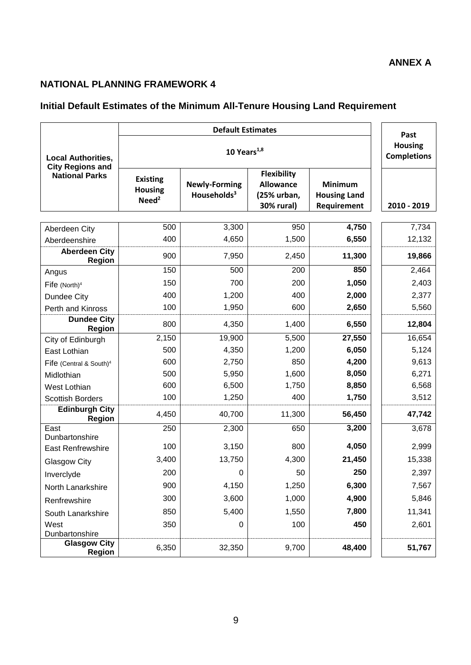#### **ANNEX A**

# **NATIONAL PLANNING FRAMEWORK 4**

# **Initial Default Estimates of the Minimum All-Tenure Housing Land Requirement**

|                                                      |                                                        | Past                                            |                                                                     |                                                      |             |
|------------------------------------------------------|--------------------------------------------------------|-------------------------------------------------|---------------------------------------------------------------------|------------------------------------------------------|-------------|
| <b>Local Authorities,</b><br><b>City Regions and</b> |                                                        | <b>Housing</b><br><b>Completions</b>            |                                                                     |                                                      |             |
| <b>National Parks</b>                                | <b>Existing</b><br><b>Housing</b><br>Need <sup>2</sup> | <b>Newly-Forming</b><br>Households <sup>3</sup> | <b>Flexibility</b><br><b>Allowance</b><br>(25% urban,<br>30% rural) | <b>Minimum</b><br><b>Housing Land</b><br>Requirement | 2010 - 2019 |
| Aberdeen City                                        | 500                                                    | 3,300                                           | 950                                                                 | 4,750                                                | 7,734       |
| Aberdeenshire                                        | 400                                                    | 4,650                                           | 1,500                                                               | 6,550                                                | 12,132      |
| <b>Aberdeen City</b><br><b>Region</b>                | 900                                                    | 7,950                                           | 2,450                                                               | 11,300                                               | 19,866      |
| Angus                                                | 150                                                    | 500                                             | 200                                                                 | 850                                                  | 2,464       |
| Fife $(North)^4$                                     | 150                                                    | 700                                             | 200                                                                 | 1,050                                                | 2,403       |
| Dundee City                                          | 400                                                    | 1,200                                           | 400                                                                 | 2,000                                                | 2,377       |
| Perth and Kinross                                    | 100                                                    | 1,950                                           | 600                                                                 | 2,650                                                | 5,560       |
| <b>Dundee City</b><br><b>Region</b>                  | 800                                                    | 4,350                                           | 1,400                                                               | 6,550                                                | 12,804      |
| City of Edinburgh                                    | 2,150                                                  | 19,900                                          | 5,500                                                               | 27,550                                               | 16,654      |
| East Lothian                                         | 500                                                    | 4,350                                           | 1,200                                                               | 6,050                                                | 5,124       |
| Fife (Central & South) <sup>4</sup>                  | 600                                                    | 2,750                                           | 850                                                                 | 4,200                                                | 9,613       |
| Midlothian                                           | 500                                                    | 5,950                                           | 1,600                                                               | 8,050                                                | 6,271       |
| West Lothian                                         | 600                                                    | 6,500                                           | 1,750                                                               | 8,850                                                | 6,568       |
| <b>Scottish Borders</b>                              | 100                                                    | 1,250                                           | 400                                                                 | 1,750                                                | 3,512       |
| <b>Edinburgh City</b><br><b>Region</b>               | 4,450                                                  | 40,700                                          | 11,300                                                              | 56,450                                               | 47,742      |
| East<br>Dunbartonshire                               | 250                                                    | 2,300                                           | 650                                                                 | 3,200                                                | 3,678       |
| <b>East Renfrewshire</b>                             | 100                                                    | 3,150                                           | 800                                                                 | 4,050                                                | 2,999       |
| <b>Glasgow City</b>                                  | 3,400                                                  | 13,750                                          | 4,300                                                               | 21,450                                               | 15,338      |
| Inverclyde                                           | 200                                                    | $\mathbf 0$                                     | 50                                                                  | 250                                                  | 2,397       |
| North Lanarkshire                                    | 900                                                    | 4,150                                           | 1,250                                                               | 6,300                                                | 7,567       |
| Renfrewshire                                         | 300                                                    | 3,600                                           | 1,000                                                               | 4,900                                                | 5,846       |
| South Lanarkshire                                    | 850                                                    | 5,400                                           | 1,550                                                               | 7,800                                                | 11,341      |
| West<br>Dunbartonshire                               | 350                                                    | 0                                               | 100                                                                 | 450                                                  | 2,601       |
| <b>Glasgow City</b><br><b>Region</b>                 | 6,350                                                  | 32,350                                          | 9,700                                                               | 48,400                                               | 51,767      |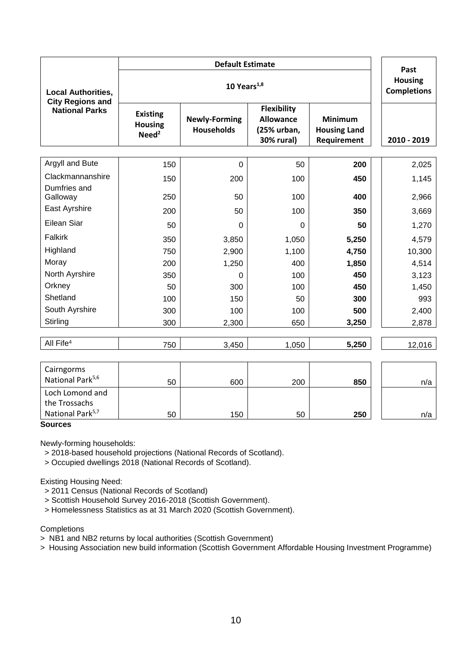|                                                      |                                                        | Past                                      |                                                                            |                                                      |             |
|------------------------------------------------------|--------------------------------------------------------|-------------------------------------------|----------------------------------------------------------------------------|------------------------------------------------------|-------------|
| <b>Local Authorities,</b><br><b>City Regions and</b> |                                                        | <b>Housing</b><br><b>Completions</b>      |                                                                            |                                                      |             |
| <b>National Parks</b>                                | <b>Existing</b><br><b>Housing</b><br>Need <sup>2</sup> | <b>Newly-Forming</b><br><b>Households</b> | <b>Flexibility</b><br><b>Allowance</b><br>(25% urban,<br><b>30% rural)</b> | <b>Minimum</b><br><b>Housing Land</b><br>Requirement | 2010 - 2019 |
|                                                      |                                                        |                                           |                                                                            |                                                      |             |
| Argyll and Bute                                      | 150                                                    | $\mathbf 0$                               | 50                                                                         | 200                                                  | 2,025       |
| Clackmannanshire                                     | 150                                                    | 200                                       | 100                                                                        | 450                                                  | 1,145       |
| Dumfries and<br>Galloway                             | 250                                                    | 50                                        | 100                                                                        | 400                                                  | 2,966       |
| East Ayrshire                                        | 200                                                    | 50                                        | 100                                                                        | 350                                                  | 3,669       |
| <b>Eilean Siar</b>                                   | 50                                                     | $\Omega$                                  | $\Omega$                                                                   | 50                                                   | 1,270       |
| Falkirk                                              | 350                                                    | 3,850                                     | 1,050                                                                      | 5,250                                                | 4,579       |
| Highland                                             | 750                                                    | 2,900                                     | 1,100                                                                      | 4,750                                                | 10,300      |
| Moray                                                | 200                                                    | 1,250                                     | 400                                                                        | 1,850                                                | 4,514       |
| North Ayrshire                                       | 350                                                    | $\Omega$                                  | 100                                                                        | 450                                                  | 3,123       |
| Orkney                                               | 50                                                     | 300                                       | 100                                                                        | 450                                                  | 1,450       |
| Shetland                                             | 100                                                    | 150                                       | 50                                                                         | 300                                                  | 993         |
| South Ayrshire                                       | 300                                                    | 100                                       | 100                                                                        | 500                                                  | 2,400       |
| Stirling                                             | 300                                                    | 2,300                                     | 650                                                                        | 3,250                                                | 2,878       |
| All Fife <sup>4</sup>                                | 750                                                    | 3,450                                     | 1,050                                                                      | 5,250                                                | 12,016      |
|                                                      |                                                        |                                           |                                                                            |                                                      |             |

| Cairngorms<br>National Park <sup>5,6</sup> | 50 | 600 | 200 | 850 | n/a |
|--------------------------------------------|----|-----|-----|-----|-----|
| Loch Lomond and                            |    |     |     |     |     |
| the Trossachs                              |    |     |     |     |     |
| National Park <sup>5,7</sup>               | 50 | 150 | 50  | 250 | n/a |

#### **Sources**

Newly-forming households:

> 2018-based household projections (National Records of Scotland).

> Occupied dwellings 2018 (National Records of Scotland).

Existing Housing Need:

> 2011 Census (National Records of Scotland)

> Scottish Household Survey 2016-2018 (Scottish Government).

> Homelessness Statistics as at 31 March 2020 (Scottish Government).

**Completions** 

> NB1 and NB2 returns by local authorities (Scottish Government)

> Housing Association new build information (Scottish Government Affordable Housing Investment Programme)